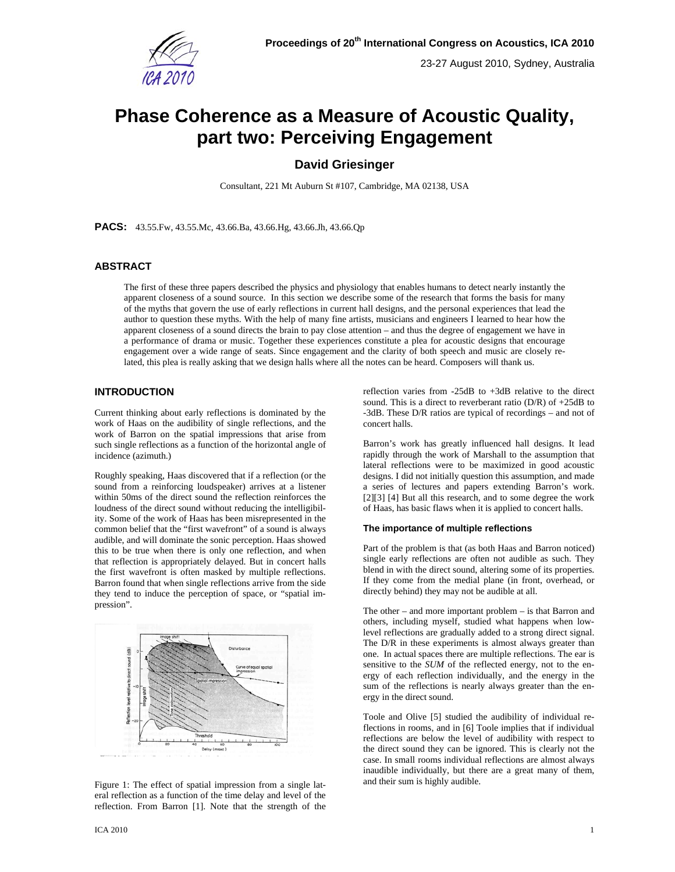

# **Phase Coherence as a Measure of Acoustic Quality, part two: Perceiving Engagement**

# **David Griesinger**

Consultant, 221 Mt Auburn St #107, Cambridge, MA 02138, USA

**PACS:** 43.55.Fw, 43.55.Mc, 43.66.Ba, 43.66.Hg, 43.66.Jh, 43.66.Qp

# **ABSTRACT**

The first of these three papers described the physics and physiology that enables humans to detect nearly instantly the apparent closeness of a sound source. In this section we describe some of the research that forms the basis for many of the myths that govern the use of early reflections in current hall designs, and the personal experiences that lead the author to question these myths. With the help of many fine artists, musicians and engineers I learned to hear how the apparent closeness of a sound directs the brain to pay close attention – and thus the degree of engagement we have in a performance of drama or music. Together these experiences constitute a plea for acoustic designs that encourage engagement over a wide range of seats. Since engagement and the clarity of both speech and music are closely related, this plea is really asking that we design halls where all the notes can be heard. Composers will thank us.

# **INTRODUCTION**

Current thinking about early reflections is dominated by the work of Haas on the audibility of single reflections, and the work of Barron on the spatial impressions that arise from such single reflections as a function of the horizontal angle of incidence (azimuth.)

Roughly speaking, Haas discovered that if a reflection (or the sound from a reinforcing loudspeaker) arrives at a listener within 50ms of the direct sound the reflection reinforces the loudness of the direct sound without reducing the intelligibility. Some of the work of Haas has been misrepresented in the common belief that the "first wavefront" of a sound is always audible, and will dominate the sonic perception. Haas showed this to be true when there is only one reflection, and when that reflection is appropriately delayed. But in concert halls the first wavefront is often masked by multiple reflections. Barron found that when single reflections arrive from the side they tend to induce the perception of space, or "spatial impression".



Figure 1: The effect of spatial impression from a single lateral reflection as a function of the time delay and level of the reflection. From Barron [1]. Note that the strength of the

reflection varies from -25dB to +3dB relative to the direct sound. This is a direct to reverberant ratio  $(D/R)$  of  $+25dB$  to -3dB. These D/R ratios are typical of recordings – and not of concert halls.

Barron's work has greatly influenced hall designs. It lead rapidly through the work of Marshall to the assumption that lateral reflections were to be maximized in good acoustic designs. I did not initially question this assumption, and made a series of lectures and papers extending Barron's work. [2][3] [4] But all this research, and to some degree the work of Haas, has basic flaws when it is applied to concert halls.

#### **The importance of multiple reflections**

Part of the problem is that (as both Haas and Barron noticed) single early reflections are often not audible as such. They blend in with the direct sound, altering some of its properties. If they come from the medial plane (in front, overhead, or directly behind) they may not be audible at all.

The other – and more important problem – is that Barron and others, including myself, studied what happens when lowlevel reflections are gradually added to a strong direct signal. The D/R in these experiments is almost always greater than one. In actual spaces there are multiple reflections. The ear is sensitive to the *SUM* of the reflected energy, not to the energy of each reflection individually, and the energy in the sum of the reflections is nearly always greater than the energy in the direct sound.

Toole and Olive [5] studied the audibility of individual reflections in rooms, and in [6] Toole implies that if individual reflections are below the level of audibility with respect to the direct sound they can be ignored. This is clearly not the case. In small rooms individual reflections are almost always inaudible individually, but there are a great many of them, and their sum is highly audible.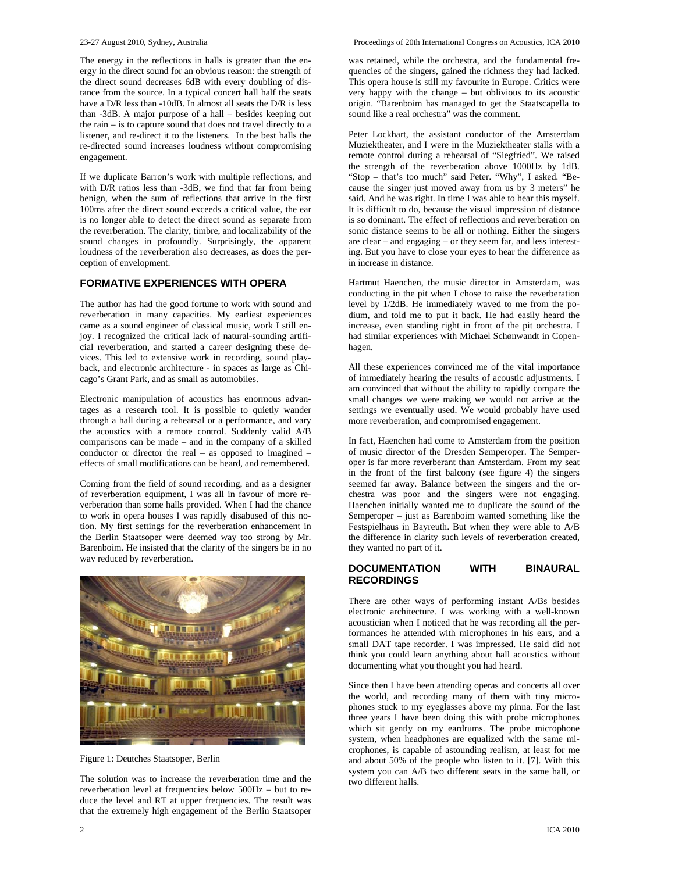The energy in the reflections in halls is greater than the energy in the direct sound for an obvious reason: the strength of the direct sound decreases 6dB with every doubling of distance from the source. In a typical concert hall half the seats have a D/R less than -10dB. In almost all seats the D/R is less than -3dB. A major purpose of a hall – besides keeping out the rain – is to capture sound that does not travel directly to a listener, and re-direct it to the listeners. In the best halls the re-directed sound increases loudness without compromising engagement.

If we duplicate Barron's work with multiple reflections, and with D/R ratios less than -3dB, we find that far from being benign, when the sum of reflections that arrive in the first 100ms after the direct sound exceeds a critical value, the ear is no longer able to detect the direct sound as separate from the reverberation. The clarity, timbre, and localizability of the sound changes in profoundly. Surprisingly, the apparent loudness of the reverberation also decreases, as does the perception of envelopment.

# **FORMATIVE EXPERIENCES WITH OPERA**

The author has had the good fortune to work with sound and reverberation in many capacities. My earliest experiences came as a sound engineer of classical music, work I still enjoy. I recognized the critical lack of natural-sounding artificial reverberation, and started a career designing these devices. This led to extensive work in recording, sound playback, and electronic architecture - in spaces as large as Chicago's Grant Park, and as small as automobiles.

Electronic manipulation of acoustics has enormous advantages as a research tool. It is possible to quietly wander through a hall during a rehearsal or a performance, and vary the acoustics with a remote control. Suddenly valid A/B comparisons can be made – and in the company of a skilled conductor or director the real – as opposed to imagined – effects of small modifications can be heard, and remembered.

Coming from the field of sound recording, and as a designer of reverberation equipment, I was all in favour of more reverberation than some halls provided. When I had the chance to work in opera houses I was rapidly disabused of this notion. My first settings for the reverberation enhancement in the Berlin Staatsoper were deemed way too strong by Mr. Barenboim. He insisted that the clarity of the singers be in no way reduced by reverberation.



Figure 1: Deutches Staatsoper, Berlin

The solution was to increase the reverberation time and the reverberation level at frequencies below 500Hz – but to reduce the level and RT at upper frequencies. The result was that the extremely high engagement of the Berlin Staatsoper

was retained, while the orchestra, and the fundamental frequencies of the singers, gained the richness they had lacked. This opera house is still my favourite in Europe. Critics were very happy with the change – but oblivious to its acoustic origin. "Barenboim has managed to get the Staatscapella to sound like a real orchestra" was the comment.

Peter Lockhart, the assistant conductor of the Amsterdam Muziektheater, and I were in the Muziektheater stalls with a remote control during a rehearsal of "Siegfried". We raised the strength of the reverberation above 1000Hz by 1dB. "Stop – that's too much" said Peter. "Why", I asked. "Because the singer just moved away from us by 3 meters" he said. And he was right. In time I was able to hear this myself. It is difficult to do, because the visual impression of distance is so dominant. The effect of reflections and reverberation on sonic distance seems to be all or nothing. Either the singers are clear – and engaging – or they seem far, and less interesting. But you have to close your eyes to hear the difference as in increase in distance.

Hartmut Haenchen, the music director in Amsterdam, was conducting in the pit when I chose to raise the reverberation level by 1/2dB. He immediately waved to me from the podium, and told me to put it back. He had easily heard the increase, even standing right in front of the pit orchestra. I had similar experiences with Michael Schønwandt in Copenhagen.

All these experiences convinced me of the vital importance of immediately hearing the results of acoustic adjustments. I am convinced that without the ability to rapidly compare the small changes we were making we would not arrive at the settings we eventually used. We would probably have used more reverberation, and compromised engagement.

In fact, Haenchen had come to Amsterdam from the position of music director of the Dresden Semperoper. The Semperoper is far more reverberant than Amsterdam. From my seat in the front of the first balcony (see figure 4) the singers seemed far away. Balance between the singers and the orchestra was poor and the singers were not engaging. Haenchen initially wanted me to duplicate the sound of the Semperoper – just as Barenboim wanted something like the Festspielhaus in Bayreuth. But when they were able to A/B the difference in clarity such levels of reverberation created, they wanted no part of it.

# **DOCUMENTATION WITH BINAURAL RECORDINGS**

There are other ways of performing instant A/Bs besides electronic architecture. I was working with a well-known acoustician when I noticed that he was recording all the performances he attended with microphones in his ears, and a small DAT tape recorder. I was impressed. He said did not think you could learn anything about hall acoustics without documenting what you thought you had heard.

Since then I have been attending operas and concerts all over the world, and recording many of them with tiny microphones stuck to my eyeglasses above my pinna. For the last three years I have been doing this with probe microphones which sit gently on my eardrums. The probe microphone system, when headphones are equalized with the same microphones, is capable of astounding realism, at least for me and about 50% of the people who listen to it. [7]. With this system you can A/B two different seats in the same hall, or two different halls.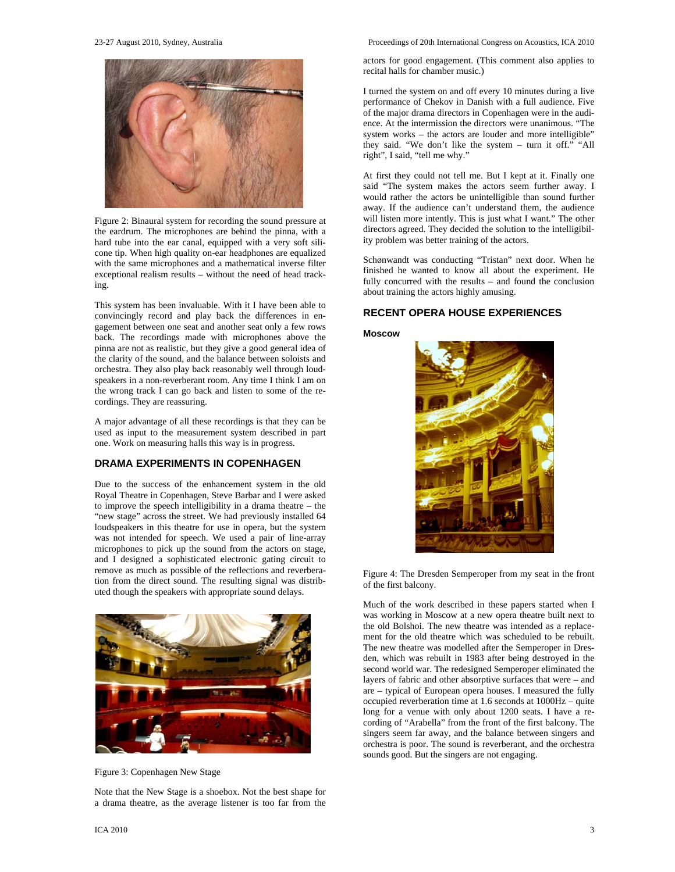

Figure 2: Binaural system for recording the sound pressure at the eardrum. The microphones are behind the pinna, with a hard tube into the ear canal, equipped with a very soft silicone tip. When high quality on-ear headphones are equalized with the same microphones and a mathematical inverse filter exceptional realism results – without the need of head tracking.

This system has been invaluable. With it I have been able to convincingly record and play back the differences in engagement between one seat and another seat only a few rows back. The recordings made with microphones above the pinna are not as realistic, but they give a good general idea of the clarity of the sound, and the balance between soloists and orchestra. They also play back reasonably well through loudspeakers in a non-reverberant room. Any time I think I am on the wrong track I can go back and listen to some of the recordings. They are reassuring.

A major advantage of all these recordings is that they can be used as input to the measurement system described in part one. Work on measuring halls this way is in progress.

# **DRAMA EXPERIMENTS IN COPENHAGEN**

Due to the success of the enhancement system in the old Royal Theatre in Copenhagen, Steve Barbar and I were asked to improve the speech intelligibility in a drama theatre – the "new stage" across the street. We had previously installed 64 loudspeakers in this theatre for use in opera, but the system was not intended for speech. We used a pair of line-array microphones to pick up the sound from the actors on stage, and I designed a sophisticated electronic gating circuit to remove as much as possible of the reflections and reverberation from the direct sound. The resulting signal was distributed though the speakers with appropriate sound delays.



Figure 3: Copenhagen New Stage

Note that the New Stage is a shoebox. Not the best shape for a drama theatre, as the average listener is too far from the

23-27 August 2010, Sydney, Australia Proceedings of 20th International Congress on Acoustics, ICA 2010

actors for good engagement. (This comment also applies to recital halls for chamber music.)

I turned the system on and off every 10 minutes during a live performance of Chekov in Danish with a full audience. Five of the major drama directors in Copenhagen were in the audience. At the intermission the directors were unanimous. "The system works – the actors are louder and more intelligible" they said. "We don't like the system – turn it off." "All right", I said, "tell me why."

At first they could not tell me. But I kept at it. Finally one said "The system makes the actors seem further away. I would rather the actors be unintelligible than sound further away. If the audience can't understand them, the audience will listen more intently. This is just what I want." The other directors agreed. They decided the solution to the intelligibility problem was better training of the actors.

Schønwandt was conducting "Tristan" next door. When he finished he wanted to know all about the experiment. He fully concurred with the results – and found the conclusion about training the actors highly amusing.

### **RECENT OPERA HOUSE EXPERIENCES**

#### **Moscow**



Figure 4: The Dresden Semperoper from my seat in the front of the first balcony.

Much of the work described in these papers started when I was working in Moscow at a new opera theatre built next to the old Bolshoi. The new theatre was intended as a replacement for the old theatre which was scheduled to be rebuilt. The new theatre was modelled after the Semperoper in Dresden, which was rebuilt in 1983 after being destroyed in the second world war. The redesigned Semperoper eliminated the layers of fabric and other absorptive surfaces that were – and are – typical of European opera houses. I measured the fully occupied reverberation time at 1.6 seconds at 1000Hz – quite long for a venue with only about 1200 seats. I have a recording of "Arabella" from the front of the first balcony. The singers seem far away, and the balance between singers and orchestra is poor. The sound is reverberant, and the orchestra sounds good. But the singers are not engaging.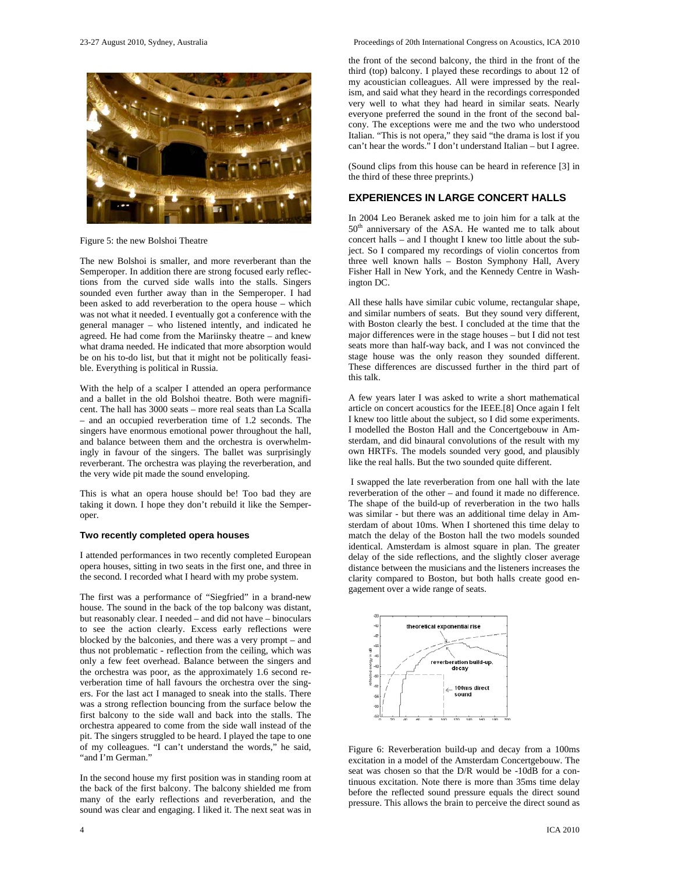

Figure 5: the new Bolshoi Theatre

The new Bolshoi is smaller, and more reverberant than the Semperoper. In addition there are strong focused early reflections from the curved side walls into the stalls. Singers sounded even further away than in the Semperoper. I had been asked to add reverberation to the opera house – which was not what it needed. I eventually got a conference with the general manager – who listened intently, and indicated he agreed. He had come from the Mariinsky theatre – and knew what drama needed. He indicated that more absorption would be on his to-do list, but that it might not be politically feasible. Everything is political in Russia.

With the help of a scalper I attended an opera performance and a ballet in the old Bolshoi theatre. Both were magnificent. The hall has 3000 seats – more real seats than La Scalla – and an occupied reverberation time of 1.2 seconds. The singers have enormous emotional power throughout the hall, and balance between them and the orchestra is overwhelmingly in favour of the singers. The ballet was surprisingly reverberant. The orchestra was playing the reverberation, and the very wide pit made the sound enveloping.

This is what an opera house should be! Too bad they are taking it down. I hope they don't rebuild it like the Semperoper.

#### **Two recently completed opera houses**

I attended performances in two recently completed European opera houses, sitting in two seats in the first one, and three in the second. I recorded what I heard with my probe system.

The first was a performance of "Siegfried" in a brand-new house. The sound in the back of the top balcony was distant, but reasonably clear. I needed – and did not have – binoculars to see the action clearly. Excess early reflections were blocked by the balconies, and there was a very prompt – and thus not problematic - reflection from the ceiling, which was only a few feet overhead. Balance between the singers and the orchestra was poor, as the approximately 1.6 second reverberation time of hall favours the orchestra over the singers. For the last act I managed to sneak into the stalls. There was a strong reflection bouncing from the surface below the first balcony to the side wall and back into the stalls. The orchestra appeared to come from the side wall instead of the pit. The singers struggled to be heard. I played the tape to one of my colleagues. "I can't understand the words," he said, "and I'm German."

In the second house my first position was in standing room at the back of the first balcony. The balcony shielded me from many of the early reflections and reverberation, and the sound was clear and engaging. I liked it. The next seat was in

the front of the second balcony, the third in the front of the third (top) balcony. I played these recordings to about 12 of my acoustician colleagues. All were impressed by the realism, and said what they heard in the recordings corresponded very well to what they had heard in similar seats. Nearly everyone preferred the sound in the front of the second balcony. The exceptions were me and the two who understood Italian. "This is not opera," they said "the drama is lost if you can't hear the words." I don't understand Italian – but I agree.

(Sound clips from this house can be heard in reference [3] in the third of these three preprints.)

#### **EXPERIENCES IN LARGE CONCERT HALLS**

In 2004 Leo Beranek asked me to join him for a talk at the 50<sup>th</sup> anniversary of the ASA. He wanted me to talk about concert halls – and I thought I knew too little about the subject. So I compared my recordings of violin concertos from three well known halls – Boston Symphony Hall, Avery Fisher Hall in New York, and the Kennedy Centre in Washington DC.

All these halls have similar cubic volume, rectangular shape, and similar numbers of seats. But they sound very different, with Boston clearly the best. I concluded at the time that the major differences were in the stage houses – but I did not test seats more than half-way back, and I was not convinced the stage house was the only reason they sounded different. These differences are discussed further in the third part of this talk.

A few years later I was asked to write a short mathematical article on concert acoustics for the IEEE.[8] Once again I felt I knew too little about the subject, so I did some experiments. I modelled the Boston Hall and the Concertgebouw in Amsterdam, and did binaural convolutions of the result with my own HRTFs. The models sounded very good, and plausibly like the real halls. But the two sounded quite different.

 I swapped the late reverberation from one hall with the late reverberation of the other – and found it made no difference. The shape of the build-up of reverberation in the two halls was similar - but there was an additional time delay in Amsterdam of about 10ms. When I shortened this time delay to match the delay of the Boston hall the two models sounded identical. Amsterdam is almost square in plan. The greater delay of the side reflections, and the slightly closer average distance between the musicians and the listeners increases the clarity compared to Boston, but both halls create good engagement over a wide range of seats.



Figure 6: Reverberation build-up and decay from a 100ms excitation in a model of the Amsterdam Concertgebouw. The seat was chosen so that the D/R would be -10dB for a continuous excitation. Note there is more than 35ms time delay before the reflected sound pressure equals the direct sound pressure. This allows the brain to perceive the direct sound as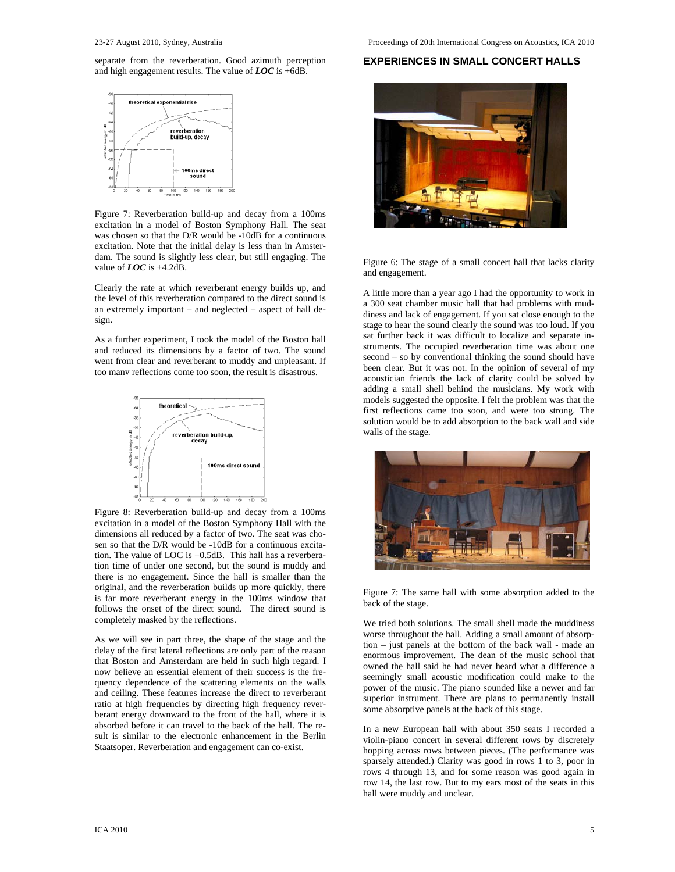separate from the reverberation. Good azimuth perception and high engagement results. The value of *LOC* is +6dB.



Figure 7: Reverberation build-up and decay from a 100ms excitation in a model of Boston Symphony Hall. The seat was chosen so that the D/R would be -10dB for a continuous excitation. Note that the initial delay is less than in Amsterdam. The sound is slightly less clear, but still engaging. The value of *LOC* is +4.2dB.

Clearly the rate at which reverberant energy builds up, and the level of this reverberation compared to the direct sound is an extremely important – and neglected – aspect of hall design.

As a further experiment, I took the model of the Boston hall and reduced its dimensions by a factor of two. The sound went from clear and reverberant to muddy and unpleasant. If too many reflections come too soon, the result is disastrous.



Figure 8: Reverberation build-up and decay from a 100ms excitation in a model of the Boston Symphony Hall with the dimensions all reduced by a factor of two. The seat was chosen so that the D/R would be -10dB for a continuous excitation. The value of LOC is +0.5dB. This hall has a reverberation time of under one second, but the sound is muddy and there is no engagement. Since the hall is smaller than the original, and the reverberation builds up more quickly, there is far more reverberant energy in the 100ms window that follows the onset of the direct sound. The direct sound is completely masked by the reflections.

As we will see in part three, the shape of the stage and the delay of the first lateral reflections are only part of the reason that Boston and Amsterdam are held in such high regard. I now believe an essential element of their success is the frequency dependence of the scattering elements on the walls and ceiling. These features increase the direct to reverberant ratio at high frequencies by directing high frequency reverberant energy downward to the front of the hall, where it is absorbed before it can travel to the back of the hall. The result is similar to the electronic enhancement in the Berlin Staatsoper. Reverberation and engagement can co-exist.

#### **EXPERIENCES IN SMALL CONCERT HALLS**



Figure 6: The stage of a small concert hall that lacks clarity and engagement.

A little more than a year ago I had the opportunity to work in a 300 seat chamber music hall that had problems with muddiness and lack of engagement. If you sat close enough to the stage to hear the sound clearly the sound was too loud. If you sat further back it was difficult to localize and separate instruments. The occupied reverberation time was about one second – so by conventional thinking the sound should have been clear. But it was not. In the opinion of several of my acoustician friends the lack of clarity could be solved by adding a small shell behind the musicians. My work with models suggested the opposite. I felt the problem was that the first reflections came too soon, and were too strong. The solution would be to add absorption to the back wall and side walls of the stage.



Figure 7: The same hall with some absorption added to the back of the stage.

We tried both solutions. The small shell made the muddiness worse throughout the hall. Adding a small amount of absorption – just panels at the bottom of the back wall - made an enormous improvement. The dean of the music school that owned the hall said he had never heard what a difference a seemingly small acoustic modification could make to the power of the music. The piano sounded like a newer and far superior instrument. There are plans to permanently install some absorptive panels at the back of this stage.

In a new European hall with about 350 seats I recorded a violin-piano concert in several different rows by discretely hopping across rows between pieces. (The performance was sparsely attended.) Clarity was good in rows 1 to 3, poor in rows 4 through 13, and for some reason was good again in row 14, the last row. But to my ears most of the seats in this hall were muddy and unclear.